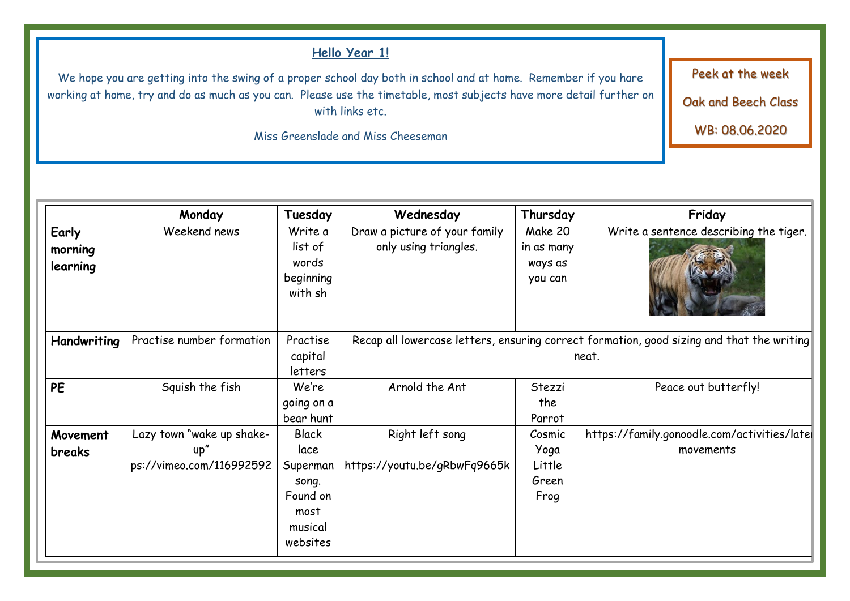## **Hello Year 1!**

We hope you are getting into the swing of a proper school day both in school and at home. Remember if you hare working at home, try and do as much as you can. Please use the timetable, most subjects have more detail further on with links etc.

Miss Greenslade and Miss Cheeseman

**Monday Tuesday Wednesday Thursday Friday Early morning learning**  Weekend news Write a list of words beginning with sh Draw a picture of your family only using triangles. Make 20 in as many ways as you can Write a sentence describing the tiger. **Handwriting** Practise number formation Practise capital letters Recap all lowercase letters, ensuring correct formation, good sizing and that the writing neat. **PE** Squish the fish We're going on a bear hunt Arnold the Ant Stezzi the Parrot Peace out butterfly! **Movement breaks**  Lazy town "wake up shakeup" ps://vimeo.com/116992592 Black lace Superman song. Found on most musical websites Right left song https://youtu.be/gRbwFq9665k Cosmic Yoga Little Green Frog https://family.gonoodle.com/activities/later movements

Peek at the week

Oak and Beech Class

WB: 08.06.2020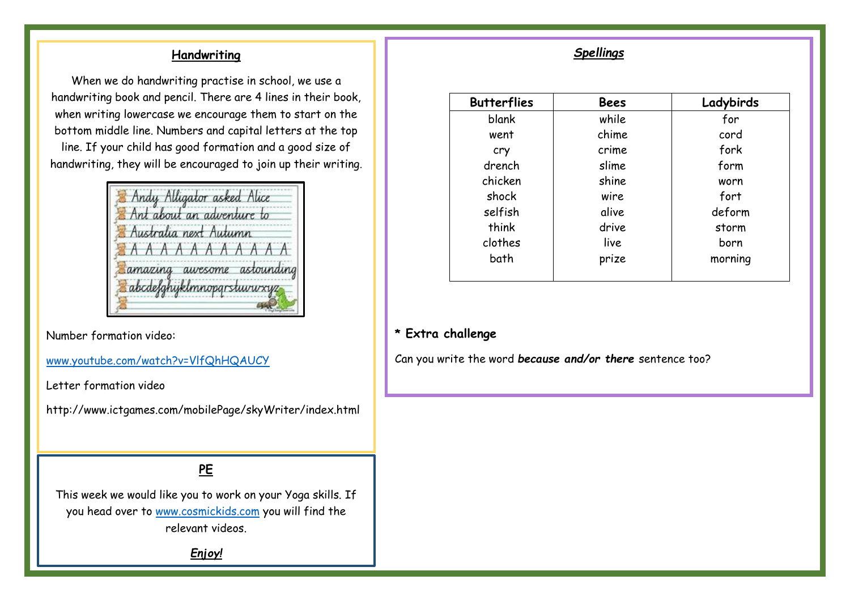## **Handwriting**

When we do handwriting practise in school, we use a handwriting book and pencil. There are 4 lines in their book, when writing lowercase we encourage them to start on the bottom middle line. Numbers and capital letters at the top line. If your child has good formation and a good size of handwriting, they will be encouraged to join up their writing.

|  | Ant about an adventure to   |  |  |
|--|-----------------------------|--|--|
|  | Australia next Autumn       |  |  |
|  | EAAAAAAAAAA                 |  |  |
|  | Samazing awesome astounding |  |  |
|  | abcdefghyklmnoparstuvu xyz  |  |  |

Number formation video:

[www.youtube.com/watch?v=VlfQhHQAUCY](http://www.youtube.com/watch?v=VlfQhHQAUCY)

Letter formation video

http://www.ictgames.com/mobilePage/skyWriter/index.html

# **PE**

This week we would like you to work on your Yoga skills. If you head over to [www.cosmickids.com](http://www.cosmickids.com/) you will find the relevant videos.

*Enjoy!*

## *Spellings*

|       | Ladybirds |
|-------|-----------|
| while | for       |
| chime | cord      |
| crime | fork      |
| slime | form      |
| shine | worn      |
| wire  | fort      |
| alive | deform    |
| drive | storm     |
| live  | born      |
| prize | morning   |
|       |           |

#### **\* Extra challenge**

Can you write the word *because and/or there* sentence too?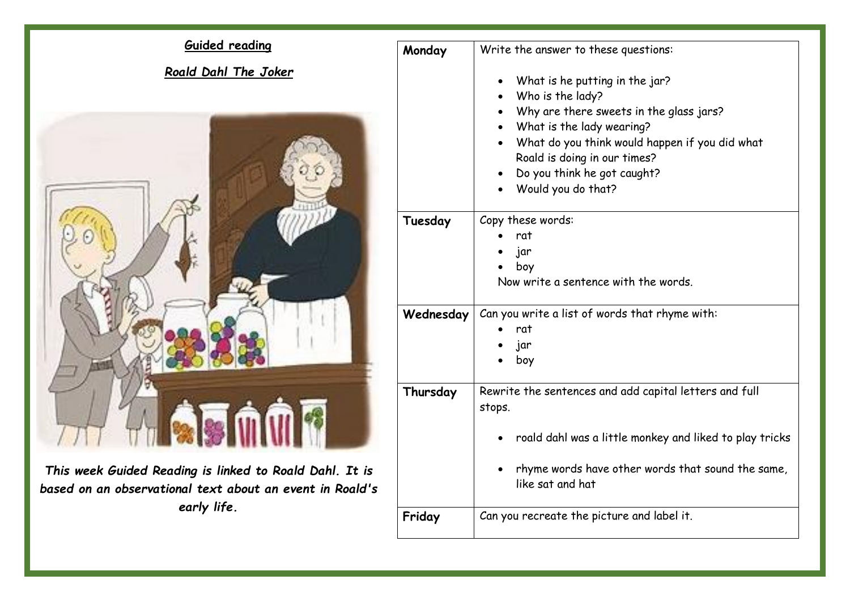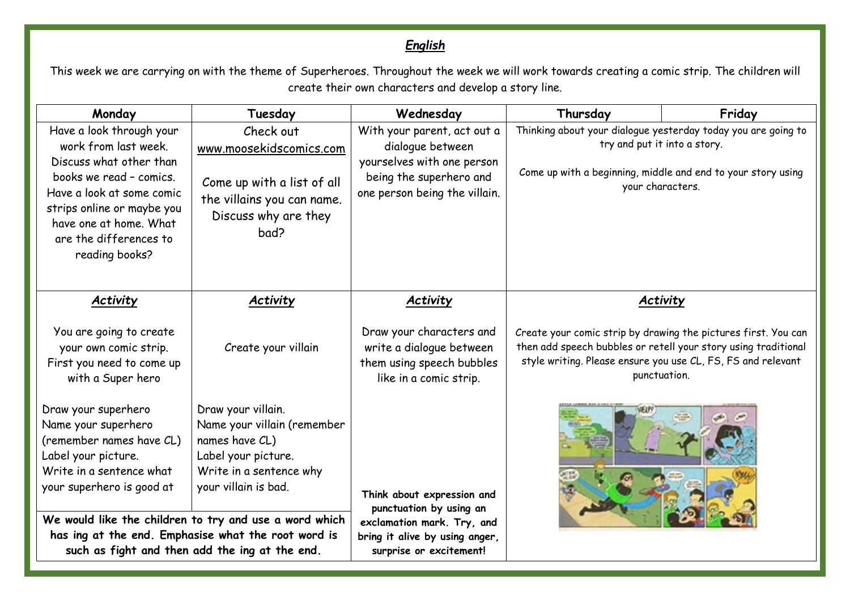# *English*

This week we are carrying on with the theme of Superheroes. Throughout the week we will work towards creating a comic strip. The children will create their own characters and develop a story line.

| Monday                                                                                                                                                                                                                                  | Tuesday                                                                                                                                                                                                                                                                                                          | Wednesday                                                                                                                                        | Thursday                                                                                                                                                                                                         | Friday |
|-----------------------------------------------------------------------------------------------------------------------------------------------------------------------------------------------------------------------------------------|------------------------------------------------------------------------------------------------------------------------------------------------------------------------------------------------------------------------------------------------------------------------------------------------------------------|--------------------------------------------------------------------------------------------------------------------------------------------------|------------------------------------------------------------------------------------------------------------------------------------------------------------------------------------------------------------------|--------|
| Have a look through your<br>work from last week.<br>Discuss what other than<br>books we read - comics.<br>Have a look at some comic<br>strips online or maybe you<br>have one at home. What<br>are the differences to<br>reading books? | Check out<br>www.moosekidscomics.com<br>Come up with a list of all<br>the villains you can name.<br>Discuss why are they<br>bad?                                                                                                                                                                                 | With your parent, act out a<br>dialogue between<br>yourselves with one person<br>being the superhero and<br>one person being the villain.        | Thinking about your dialogue yesterday today you are going to<br>try and put it into a story.<br>Come up with a beginning, middle and end to your story using<br>your characters.                                |        |
| <b>Activity</b>                                                                                                                                                                                                                         | <b>Activity</b>                                                                                                                                                                                                                                                                                                  | <b>Activity</b>                                                                                                                                  | Activity                                                                                                                                                                                                         |        |
| You are going to create<br>your own comic strip.<br>First you need to come up<br>with a Super hero                                                                                                                                      | Create your villain                                                                                                                                                                                                                                                                                              | Draw your characters and<br>write a dialogue between<br>them using speech bubbles<br>like in a comic strip.                                      | Create your comic strip by drawing the pictures first. You can<br>then add speech bubbles or retell your story using traditional<br>style writing. Please ensure you use CL, FS, FS and relevant<br>punctuation. |        |
| Draw your superhero<br>Name your superhero<br>(remember names have CL)<br>Label your picture.<br>Write in a sentence what<br>your superhero is good at                                                                                  | Draw your villain.<br>Name your villain (remember<br>names have CL)<br>Label your picture.<br>Write in a sentence why<br>your villain is bad.<br>We would like the children to try and use a word which<br>has ing at the end. Emphasise what the root word is<br>such as fight and then add the ing at the end. | Think about expression and<br>punctuation by using an<br>exclamation mark. Try, and<br>bring it alive by using anger,<br>surprise or excitement! |                                                                                                                                                                                                                  |        |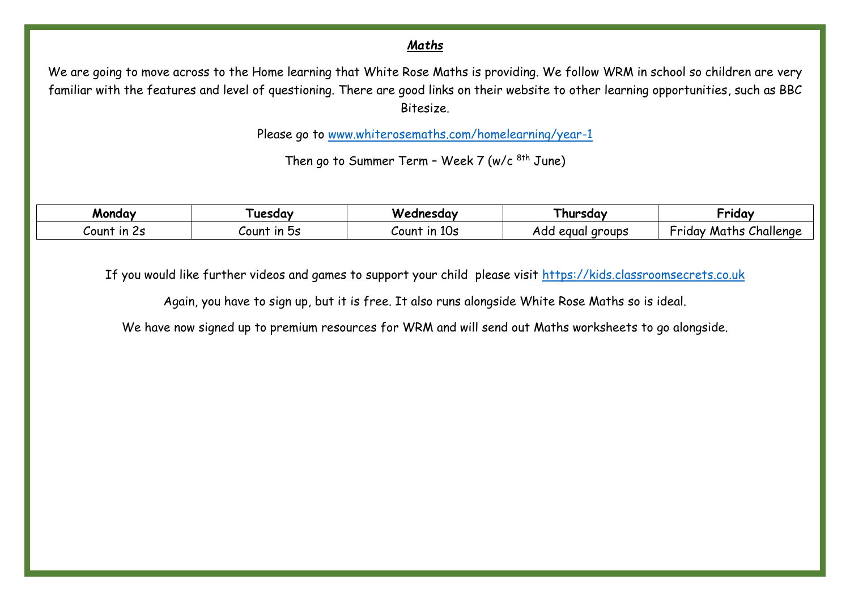#### *Maths*

We are going to move across to the Home learning that White Rose Maths is providing. We follow WRM in school so children are very familiar with the features and level of questioning. There are good links on their website to other learning opportunities, such as BBC Bitesize.

Please go to [www.whiterosemaths.com/homelearning/year-1](http://www.whiterosemaths.com/homelearning/year-1)

Then go to Summer Term - Week 7 (w/c 8th June)

| Monday            | uesdav                  | Wednesday                                              | l hursdav              | -<br>Friday                        |
|-------------------|-------------------------|--------------------------------------------------------|------------------------|------------------------------------|
| --<br>Count in 2s | nc.<br>ın<br>∽oun<br>تب | 10 <sub>s</sub><br>$\overline{\mathsf{I}}$<br>$U$ ount | aroups<br>equal<br>Ado | Challenge<br>-<br>Maths<br>hriday, |

If you would like further videos and games to support your child please visit [https://kids.classroomsecrets.co.uk](https://kids.classroomsecrets.co.uk/)

Again, you have to sign up, but it is free. It also runs alongside White Rose Maths so is ideal.

We have now signed up to premium resources for WRM and will send out Maths worksheets to go alongside.